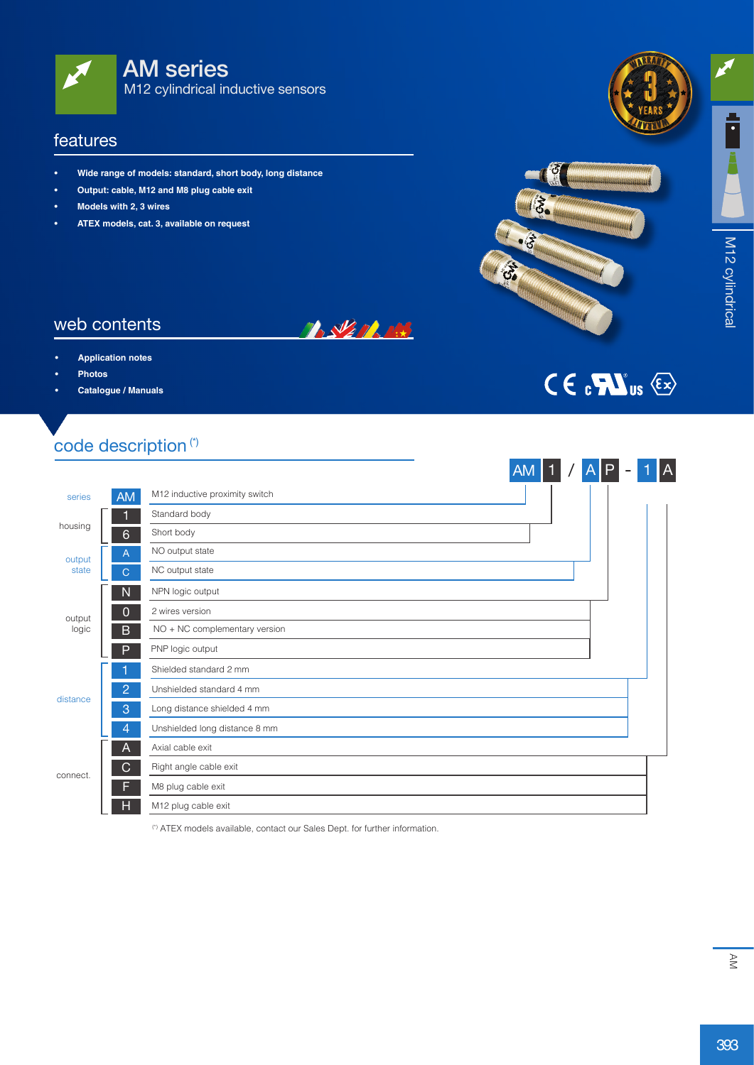

#### features

- **• Wide range of models: standard, short body, long distance**
- **• Output: cable, M12 and M8 plug cable exit**
- **• Models with 2, 3 wires**
- **• ATEX models, cat. 3, available on request**



 $\overline{A}$ 

 $CE$   $C$   $C$   $TC$   $S$   $\otimes$ 



#### web contents

- **Application** notes
- **• Photos**
- **• Catalogue / Manuals**

# code description<sup>(\*)</sup>

|                       |                |                                | $AM$ 1 | $A$ $P$ | $\overline{\phantom{0}}$ | A |
|-----------------------|----------------|--------------------------------|--------|---------|--------------------------|---|
| series                | <b>AM</b>      | M12 inductive proximity switch |        |         |                          |   |
|                       |                | Standard body                  |        |         |                          |   |
| housing               | $6\phantom{1}$ | Short body                     |        |         |                          |   |
| output                | $\mathsf{A}$   | NO output state                |        |         |                          |   |
| state<br>$\mathsf{C}$ |                | NC output state                |        |         |                          |   |
| $\mathsf{N}$          |                | NPN logic output               |        |         |                          |   |
| output<br>logic       | $\Omega$       | 2 wires version                |        |         |                          |   |
|                       | B              | NO + NC complementary version  |        |         |                          |   |
|                       | P              | PNP logic output               |        |         |                          |   |
|                       |                | Shielded standard 2 mm         |        |         |                          |   |
|                       | $\overline{2}$ | Unshielded standard 4 mm       |        |         |                          |   |
| distance              | 3              | Long distance shielded 4 mm    |        |         |                          |   |
|                       | 4              | Unshielded long distance 8 mm  |        |         |                          |   |
| connect.              | A              | Axial cable exit               |        |         |                          |   |
|                       | $\mathsf{C}$   | Right angle cable exit         |        |         |                          |   |
|                       | F              | M8 plug cable exit             |        |         |                          |   |
|                       | H              | M12 plug cable exit            |        |         |                          |   |

**TASKET RANGE** 

(\*) ATEX models available, contact our Sales Dept. for further information.

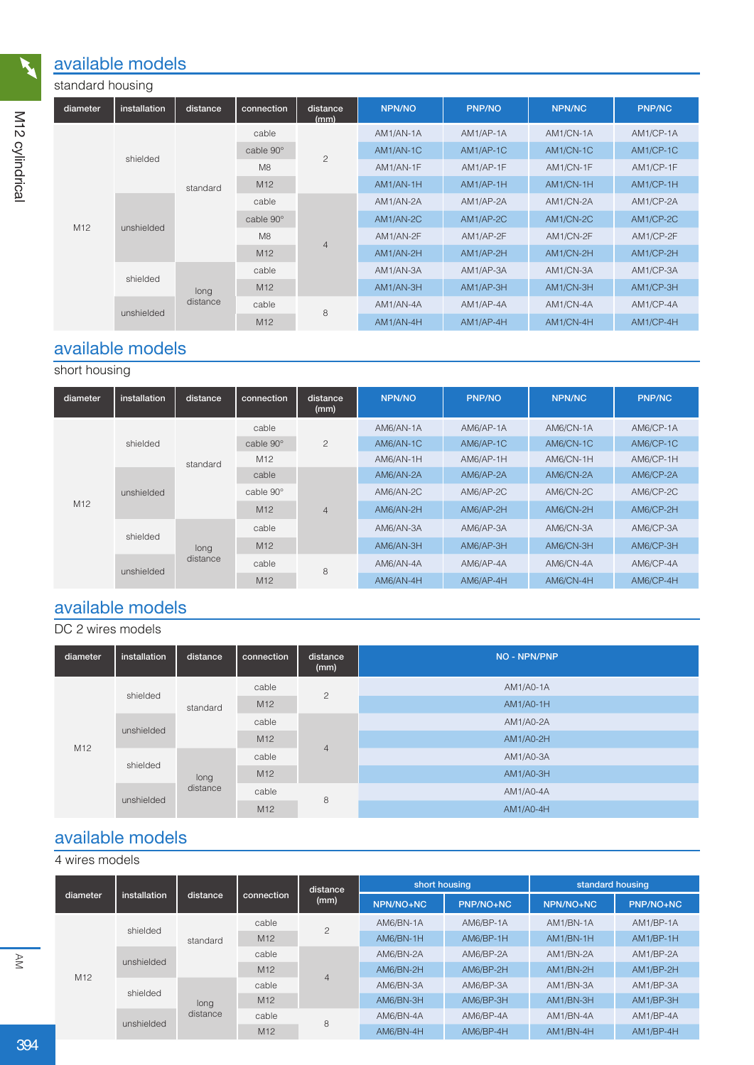### available models

| standard housing |              |          |                 |                  |               |               |               |               |
|------------------|--------------|----------|-----------------|------------------|---------------|---------------|---------------|---------------|
| diameter         | installation | distance | connection      | distance<br>(mm) | <b>NPN/NO</b> | <b>PNP/NO</b> | <b>NPN/NC</b> | <b>PNP/NC</b> |
|                  |              | standard | cable           | $\overline{c}$   | AM1/AN-1A     | AM1/AP-1A     | AM1/CN-1A     | AM1/CP-1A     |
|                  | shielded     |          | cable 90°       |                  | AM1/AN-1C     | AM1/AP-1C     | AM1/CN-1C     | AM1/CP-1C     |
|                  |              |          | M <sub>8</sub>  |                  | AM1/AN-1F     | AM1/AP-1F     | AM1/CN-1F     | AM1/CP-1F     |
|                  |              |          | M12             |                  | AM1/AN-1H     | AM1/AP-1H     | AM1/CN-1H     | AM1/CP-1H     |
|                  | unshielded   |          | cable           | 4                | AM1/AN-2A     | AM1/AP-2A     | AM1/CN-2A     | AM1/CP-2A     |
| M <sub>12</sub>  |              |          | cable 90°       |                  | AM1/AN-2C     | AM1/AP-2C     | AM1/CN-2C     | AM1/CP-2C     |
|                  |              |          | M8              |                  | AM1/AN-2F     | AM1/AP-2F     | AM1/CN-2F     | AM1/CP-2F     |
|                  |              |          | M <sub>12</sub> |                  | AM1/AN-2H     | AM1/AP-2H     | AM1/CN-2H     | AM1/CP-2H     |
|                  | shielded     |          | cable           |                  | AM1/AN-3A     | AM1/AP-3A     | AM1/CN-3A     | AM1/CP-3A     |
|                  |              | long     | M <sub>12</sub> |                  | AM1/AN-3H     | AM1/AP-3H     | AM1/CN-3H     | AM1/CP-3H     |
|                  |              | distance | cable           |                  | AM1/AN-4A     | AM1/AP-4A     | AM1/CN-4A     | AM1/CP-4A     |
|                  | unshielded   |          | M <sub>12</sub> | 8                | AM1/AN-4H     | AM1/AP-4H     | AM1/CN-4H     | AM1/CP-4H     |

# available models

### short housing

| diameter        | installation | distance | connection      | distance<br>(mm) | <b>NPN/NO</b> | <b>PNP/NO</b> | <b>NPN/NC</b> | <b>PNP/NC</b> |
|-----------------|--------------|----------|-----------------|------------------|---------------|---------------|---------------|---------------|
| M <sub>12</sub> |              | standard | cable           |                  | AM6/AN-1A     | AM6/AP-1A     | AM6/CN-1A     | AM6/CP-1A     |
|                 | shielded     |          | cable 90°       | $\overline{c}$   | AM6/AN-1C     | AM6/AP-1C     | AM6/CN-1C     | AM6/CP-1C     |
|                 |              |          | M <sub>12</sub> |                  | AM6/AN-1H     | AM6/AP-1H     | AM6/CN-1H     | AM6/CP-1H     |
|                 | unshielded   |          | cable           |                  | AM6/AN-2A     | AM6/AP-2A     | AM6/CN-2A     | AM6/CP-2A     |
|                 |              |          | cable 90°       |                  | AM6/AN-2C     | AM6/AP-2C     | AM6/CN-2C     | AM6/CP-2C     |
|                 |              |          | M <sub>12</sub> | $\overline{4}$   | AM6/AN-2H     | AM6/AP-2H     | AM6/CN-2H     | AM6/CP-2H     |
|                 | shielded     | long     | cable           |                  | AM6/AN-3A     | AM6/AP-3A     | AM6/CN-3A     | AM6/CP-3A     |
|                 |              |          | M12             |                  | AM6/AN-3H     | AM6/AP-3H     | AM6/CN-3H     | AM6/CP-3H     |
|                 |              | distance | cable           | 8                | AM6/AN-4A     | AM6/AP-4A     | AM6/CN-4A     | AM6/CP-4A     |
|                 | unshielded   |          | M <sub>12</sub> |                  | AM6/AN-4H     | AM6/AP-4H     | AM6/CN-4H     | AM6/CP-4H     |

# available models

### DC 2 wires models

| diameter | installation | distance | connection      | distance<br>(mm) | <b>NO - NPN/PNP</b> |
|----------|--------------|----------|-----------------|------------------|---------------------|
|          | shielded     | standard | cable           | $\overline{c}$   | AM1/A0-1A           |
|          |              |          | M <sub>12</sub> |                  | $AM1/AO-1H$         |
|          | unshielded   |          | cable           | $\overline{4}$   | AM1/A0-2A           |
| M12      |              |          | M <sub>12</sub> |                  | $AM1/A0-2H$         |
|          | shielded     |          | cable           |                  | AM1/A0-3A           |
|          |              | long     | M <sub>12</sub> |                  | $AM1/A0-3H$         |
|          |              | distance | cable           |                  | AM1/A0-4A           |
|          | unshielded   |          | M <sub>12</sub> | 8                | $AM1/A0-4H$         |

## available models

4 wires models

|           |              | distance | connection      | distance<br>(mm) | short housing |           | standard housing |           |
|-----------|--------------|----------|-----------------|------------------|---------------|-----------|------------------|-----------|
| diameter. | installation |          |                 |                  | NPN/NO+NC     | PNP/NO+NC | NPN/NO+NC        | PNP/NO+NC |
|           | shielded     |          | cable           | 2                | AM6/BN-1A     | AM6/BP-1A | AM1/BN-1A        | AM1/BP-1A |
| M12       |              | standard | M <sub>12</sub> |                  | AM6/BN-1H     | AM6/BP-1H | AM1/BN-1H        | AM1/BP-1H |
|           | unshielded   |          | cable           | $\overline{4}$   | AM6/BN-2A     | AM6/BP-2A | AM1/BN-2A        | AM1/BP-2A |
|           |              |          | M <sub>12</sub> |                  | AM6/BN-2H     | AM6/BP-2H | AM1/BN-2H        | AM1/BP-2H |
|           | shielded     | long     | cable           |                  | AM6/BN-3A     | AM6/BP-3A | AM1/BN-3A        | AM1/BP-3A |
|           |              |          | M <sub>12</sub> |                  | AM6/BN-3H     | AM6/BP-3H | AM1/BN-3H        | AM1/BP-3H |
|           | unshielded   | distance | cable           |                  | AM6/BN-4A     | AM6/BP-4A | AM1/BN-4A        | AM1/BP-4A |
|           |              |          | M <sub>12</sub> | 8                | AM6/BN-4H     | AM6/BP-4H | AM1/BN-4H        | AM1/BP-4H |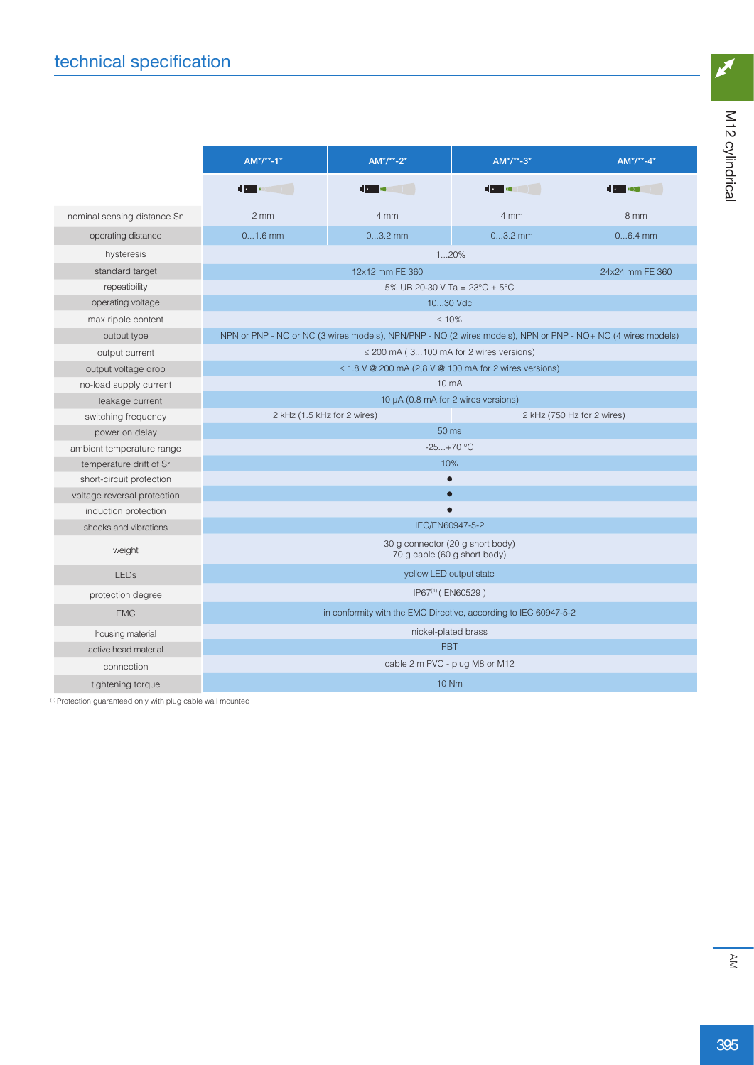|                             | $AM^*/**-1*$<br>$AM^*/**-2*$<br>$AM^*/**-3*$                     |                                                                                                             | $AM^*/**-4*$               |                 |  |  |  |  |
|-----------------------------|------------------------------------------------------------------|-------------------------------------------------------------------------------------------------------------|----------------------------|-----------------|--|--|--|--|
|                             | <b>Contract of the Second State</b>                              | <b>The Communication</b>                                                                                    |                            | 10 - 10         |  |  |  |  |
| nominal sensing distance Sn | $2 \, \text{mm}$                                                 | 4 mm                                                                                                        | 4 mm                       | 8 mm            |  |  |  |  |
| operating distance          | $01.6$ mm                                                        | $03.2$ mm                                                                                                   | $03.2$ mm                  | $06.4$ mm       |  |  |  |  |
| hysteresis                  |                                                                  | 120%                                                                                                        |                            |                 |  |  |  |  |
| standard target             |                                                                  | 12x12 mm FE 360                                                                                             |                            | 24x24 mm FE 360 |  |  |  |  |
| repeatibility               |                                                                  | 5% UB 20-30 V Ta = $23^{\circ}$ C ± 5°C                                                                     |                            |                 |  |  |  |  |
| operating voltage           |                                                                  | 1030 Vdc                                                                                                    |                            |                 |  |  |  |  |
| max ripple content          |                                                                  | < 10%                                                                                                       |                            |                 |  |  |  |  |
| output type                 |                                                                  | NPN or PNP - NO or NC (3 wires models), NPN/PNP - NO (2 wires models), NPN or PNP - NO+ NC (4 wires models) |                            |                 |  |  |  |  |
| output current              |                                                                  | $\leq$ 200 mA (3100 mA for 2 wires versions)                                                                |                            |                 |  |  |  |  |
| output voltage drop         | $\leq$ 1.8 V @ 200 mA (2,8 V @ 100 mA for 2 wires versions)      |                                                                                                             |                            |                 |  |  |  |  |
| no-load supply current      | 10 <sub>m</sub> A                                                |                                                                                                             |                            |                 |  |  |  |  |
| leakage current             | 10 µA (0.8 mA for 2 wires versions)                              |                                                                                                             |                            |                 |  |  |  |  |
| switching frequency         | 2 kHz (1.5 kHz for 2 wires)                                      |                                                                                                             | 2 kHz (750 Hz for 2 wires) |                 |  |  |  |  |
| power on delay              | 50 <sub>ms</sub>                                                 |                                                                                                             |                            |                 |  |  |  |  |
| ambient temperature range   | $-25+70$ °C                                                      |                                                                                                             |                            |                 |  |  |  |  |
| temperature drift of Sr     | 10%                                                              |                                                                                                             |                            |                 |  |  |  |  |
| short-circuit protection    |                                                                  |                                                                                                             |                            |                 |  |  |  |  |
| voltage reversal protection | $\bullet$                                                        |                                                                                                             |                            |                 |  |  |  |  |
| induction protection        |                                                                  |                                                                                                             |                            |                 |  |  |  |  |
| shocks and vibrations       | IEC/EN60947-5-2                                                  |                                                                                                             |                            |                 |  |  |  |  |
| weight                      | 30 g connector (20 g short body)<br>70 g cable (60 g short body) |                                                                                                             |                            |                 |  |  |  |  |
| <b>LEDs</b>                 | yellow LED output state                                          |                                                                                                             |                            |                 |  |  |  |  |
| protection degree           | IP67 <sup>(1)</sup> (EN60529)                                    |                                                                                                             |                            |                 |  |  |  |  |
| <b>EMC</b>                  | in conformity with the EMC Directive, according to IEC 60947-5-2 |                                                                                                             |                            |                 |  |  |  |  |
| housing material            | nickel-plated brass                                              |                                                                                                             |                            |                 |  |  |  |  |
| active head material        | <b>PBT</b>                                                       |                                                                                                             |                            |                 |  |  |  |  |
| connection                  |                                                                  | cable 2 m PVC - plug M8 or M12                                                                              |                            |                 |  |  |  |  |
| tightening torque           | <b>10 Nm</b>                                                     |                                                                                                             |                            |                 |  |  |  |  |

(1) Protection guaranteed only with plug cable wall mounted

 $\boldsymbol{z}$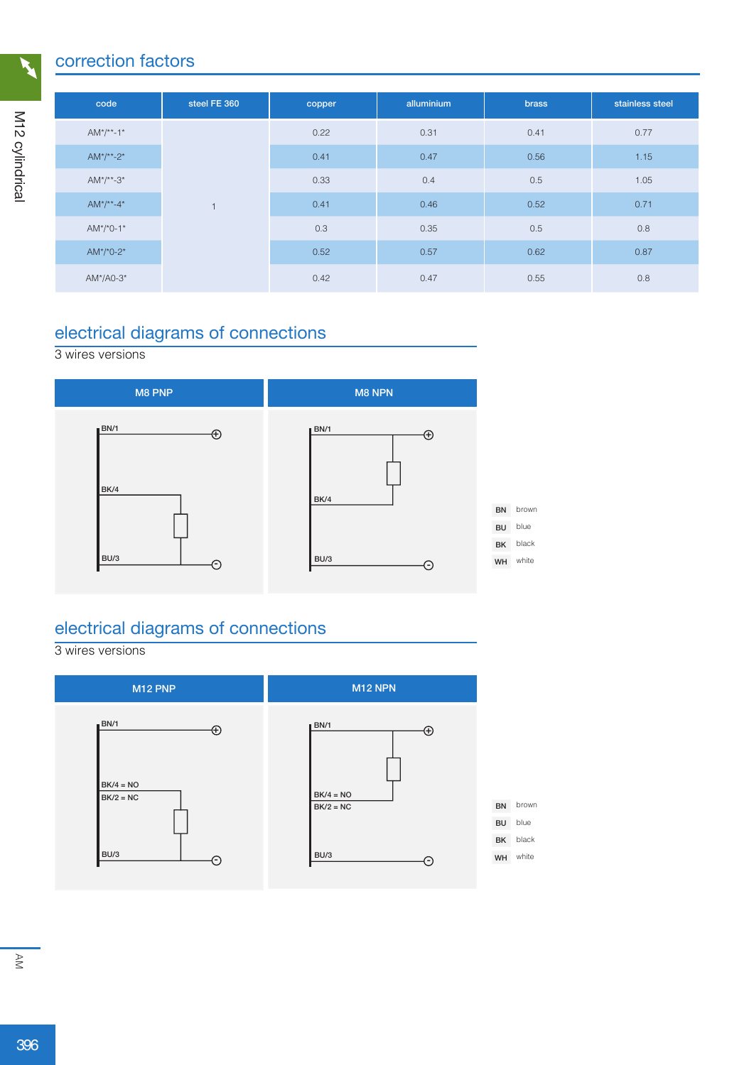### correction factors

| code               | steel FE 360   | copper | alluminium | <b>brass</b> | stainless steel |      |
|--------------------|----------------|--------|------------|--------------|-----------------|------|
| $AM^*/**-1*$       |                | 0.22   | 0.31       | 0.41         | 0.77            |      |
| $AM^*/^{**} - 2^*$ | $\overline{a}$ | 0.41   | 0.47       | 0.56         | 1.15            |      |
| $AM^*/^{**} - 3^*$ |                | 0.33   | 0.4        | 0.5          | 1.05            |      |
| $AM^*/^{**} - 4^*$ |                |        | 0.41       | 0.46         | 0.52            | 0.71 |
| $AM^*/^*0-1^*$     |                | 0.3    | 0.35       | 0.5          | 0.8             |      |
| $AM*/0-2*$         |                | 0.52   | 0.57       | 0.62         | 0.87            |      |
| $AM*/AO-3*$        |                | 0.42   | 0.47       | 0.55         | 0.8             |      |

# electrical diagrams of connections

#### 3 wires versions



## electrical diagrams of connections

#### 3 wires versions

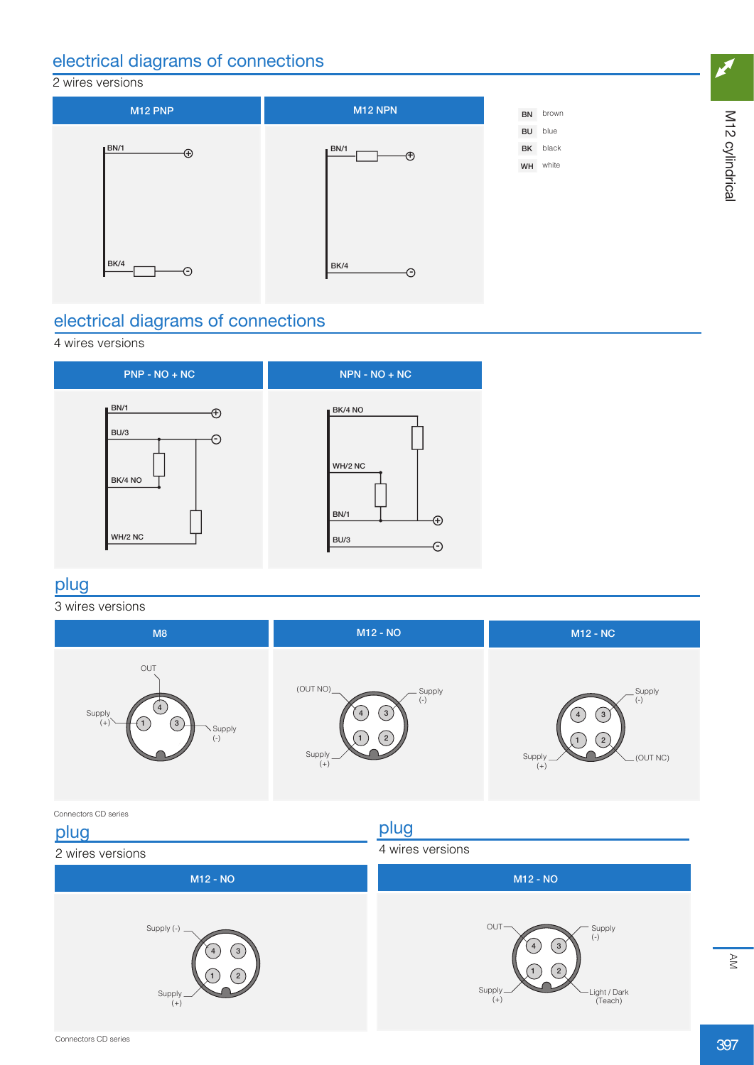### electrical diagrams of connections

#### 2 wires versions



### electrical diagrams of connections

#### 4 wires versions



**1 2**

1

Supply (+)

# plug

#### 3 wires versions



**1 2**

Light / Dark (Teach)

1

Supply (+)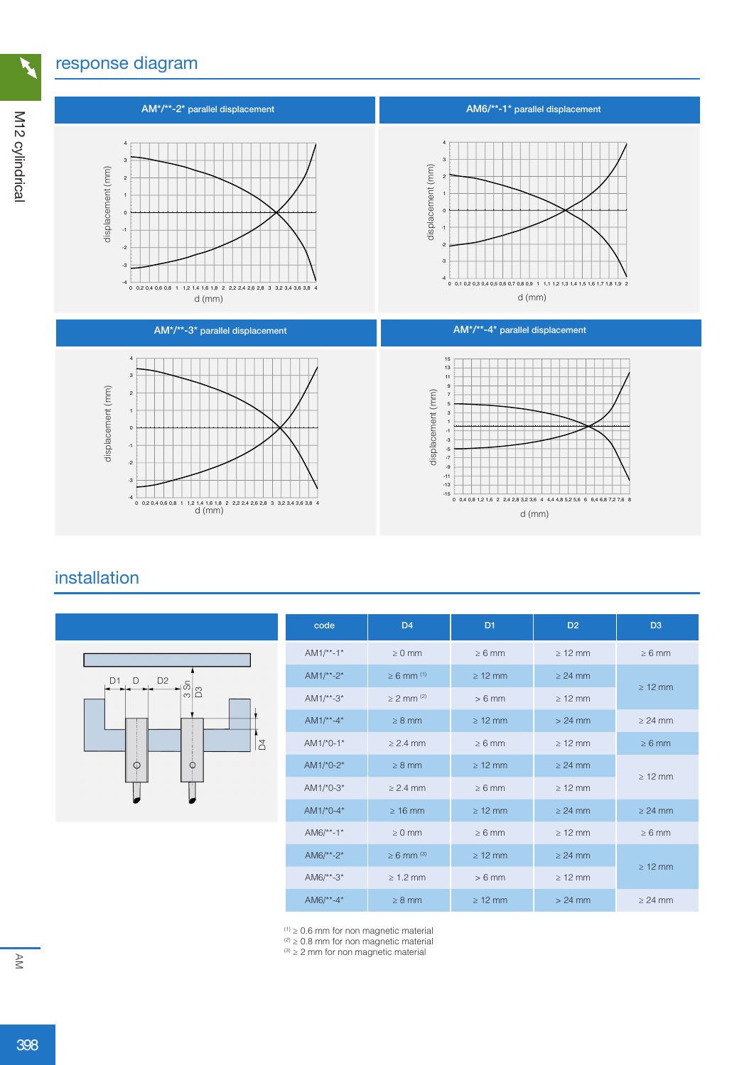### response diagram



## installation



| code          | D <sub>4</sub>             | D <sub>1</sub> | D <sub>2</sub> | D <sub>3</sub> |
|---------------|----------------------------|----------------|----------------|----------------|
| $AM1/**-1*$   | $\geq 0$ mm                | $\geq 6$ mm    | $\geq 12$ mm   | $\geq 6$ mm    |
| $AM1/*-2*$    | $\geq 6$ mm <sup>(1)</sup> | $\geq 12$ mm   | $\geq$ 24 mm   | $\geq 12$ mm   |
| $AM1/*-3*$    | $> 2$ mm $(2)$             | $> 6$ mm       | $>12$ mm       |                |
| $AM1/*-4*$    | $\geq 8$ mm                | $\geq 12$ mm   | $> 24$ mm      | $> 24$ mm      |
| $AM1/*0-1*$   | $> 2.4$ mm                 | $\geq 6$ mm    | $>12$ mm       | $\geq 6$ mm    |
| $AM1/^*0-2^*$ | $\geq 8$ mm                | $\geq 12$ mm   | $\geq$ 24 mm   | $\geq 12$ mm   |
| $AM1/*0-3*$   | $> 2.4$ mm                 | $>6$ mm        | $>12$ mm       |                |
| $AM1/*0-4*$   | $\geq 16$ mm               | $\geq 12$ mm   | $> 24$ mm      | $> 24$ mm      |
| $AM6/**-1*$   | $\geq 0$ mm                | $\geq 6$ mm    | $\geq 12$ mm   | $\geq 6$ mm    |
| $AM6/**-2*$   | $\geq 6$ mm <sup>(3)</sup> | $\geq 12$ mm   | $> 24$ mm      | $\geq 12$ mm   |
| $AM6/**-3*$   | $\geq 1.2$ mm              | $> 6$ mm       | $\geq 12$ mm   |                |
| $AM6/**-4*$   | $\geq 8$ mm                | $\geq 12$ mm   | $> 24$ mm      | $\geq$ 24 mm   |

 $(1)$   $\geq$  0.6 mm for non magnetic material

 $(2)$   $\geq$  0.8 mm for non magnetic material

 $(3)$   $\geq$  2 mm for non magnetic material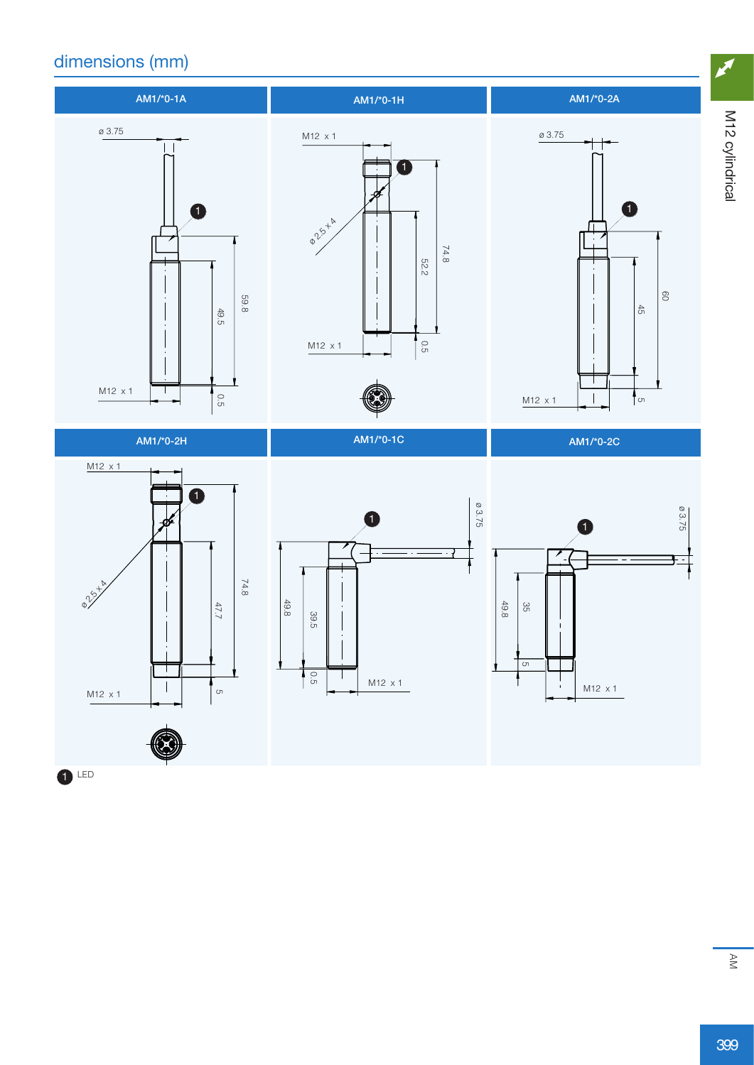# dimensions (mm)



 $\bullet$  LED

M12 cylindrical M12 cylindrical

 $\boldsymbol{z}$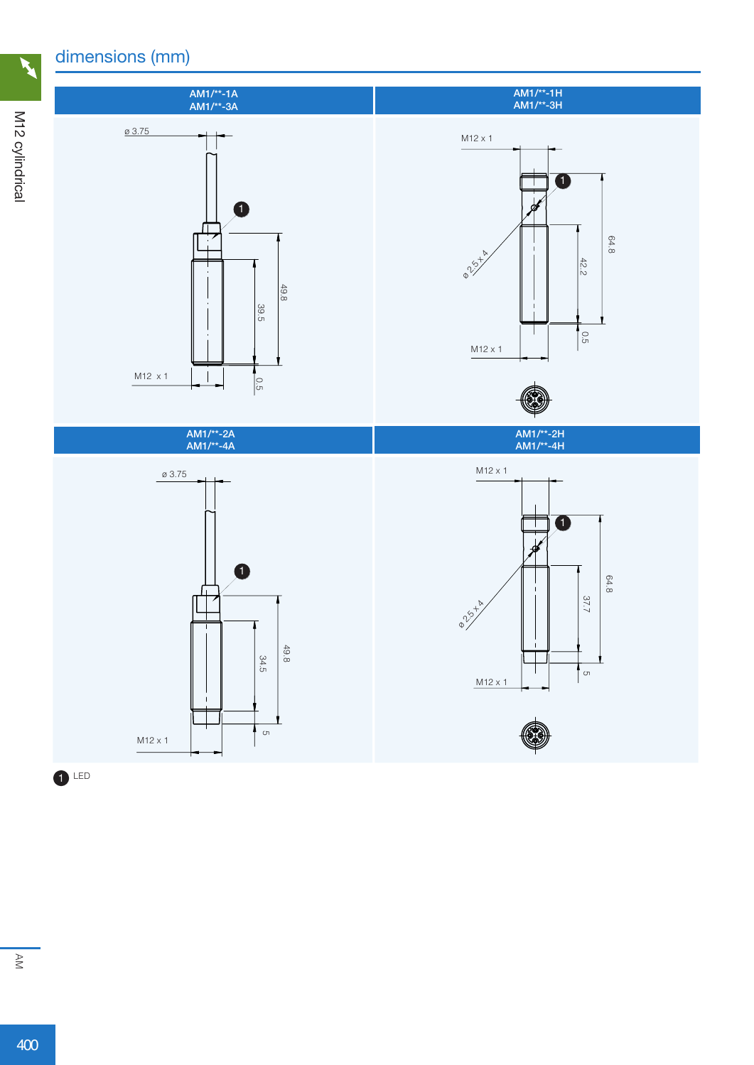# dimensions (mm)



M12 cylindrical M12 cylindrical